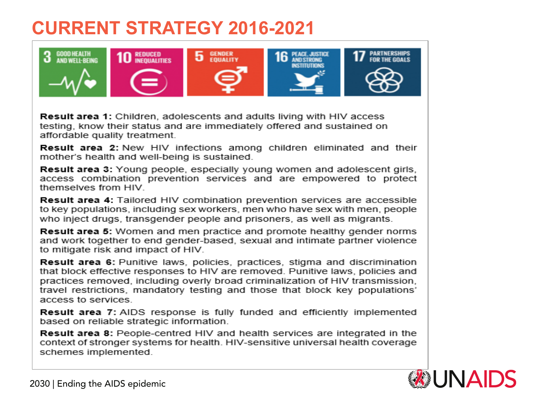## **CURRENT STRATEGY 2016-2021**



**Result area 1:** Children, adolescents and adults living with HIV access testing, know their status and are immediately offered and sustained on affordable quality treatment.

**Result area 2:** New HIV infections among children eliminated and their mother's health and well-being is sustained.

**Result area 3:** Young people, especially young women and adolescent girls, access combination prevention services and are empowered to protect themselves from HIV.

**Result area 4: Tailored HIV combination prevention services are accessible** to key populations, including sex workers, men who have sex with men, people who inject drugs, transgender people and prisoners, as well as migrants.

**Result area 5:** Women and men practice and promote healthy gender norms and work together to end gender-based, sexual and intimate partner violence to mitigate risk and impact of HIV.

**Result area 6:** Punitive laws, policies, practices, stigma and discrimination that block effective responses to HIV are removed. Punitive laws, policies and practices removed, including overly broad criminalization of HIV transmission. travel restrictions, mandatory testing and those that block key populations' access to services

**Result area 7:** AIDS response is fully funded and efficiently implemented based on reliable strategic information.

**Result area 8:** People-centred HIV and health services are integrated in the context of stronger systems for health. HIV-sensitive universal health coverage schemes implemented.

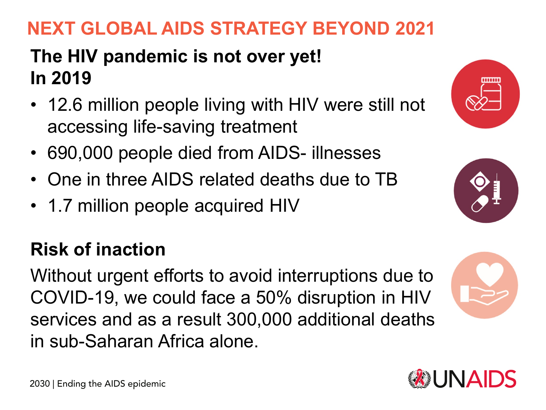## **NEXT GLOBAL AIDS STRATEGY BEYOND 2021**

## **The HIV pandemic is not over yet! In 2019**

- 12.6 million people living with HIV were still not accessing life-saving treatment
- 690,000 people died from AIDS- illnesses
- One in three AIDS related deaths due to TB
- 1.7 million people acquired HIV

## **Risk of inaction**

Without urgent efforts to avoid interruptions due to COVID-19, we could face a 50% disruption in HIV services and as a result 300,000 additional deaths in sub-Saharan Africa alone.







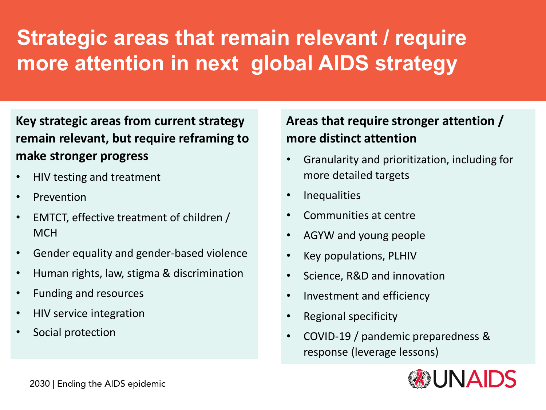## **Strategic areas that remain relevant / require more attention in next global AIDS strategy**

**Key strategic areas from current strategy remain relevant, but require reframing to make stronger progress**

- HIV testing and treatment
- **Prevention**
- EMTCT, effective treatment of children / **MCH**
- Gender equality and gender-based violence
- Human rights, law, stigma & discrimination
- Funding and resources
- HIV service integration
- Social protection

### **Areas that require stronger attention / more distinct attention**

- Granularity and prioritization, including for more detailed targets
- Inequalities
- Communities at centre
- AGYW and young people
- Key populations, PLHIV
- Science, R&D and innovation
- Investment and efficiency
- Regional specificity
- COVID-19 / pandemic preparedness & response (leverage lessons)

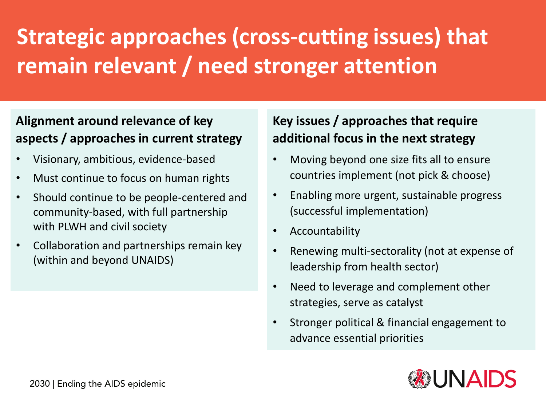# **Strategic approaches (cross-cutting issues) that remain relevant / need stronger attention**

### **Alignment around relevance of key aspects / approaches in current strategy**

- Visionary, ambitious, evidence-based
- Must continue to focus on human rights
- Should continue to be people-centered and community-based, with full partnership with PLWH and civil society
- Collaboration and partnerships remain key (within and beyond UNAIDS)

#### **Key issues / approaches that require additional focus in the next strategy**

- Moving beyond one size fits all to ensure countries implement (not pick & choose)
- Enabling more urgent, sustainable progress (successful implementation)
- Accountability
- Renewing multi-sectorality (not at expense of leadership from health sector)
- Need to leverage and complement other strategies, serve as catalyst
- Stronger political & financial engagement to advance essential priorities

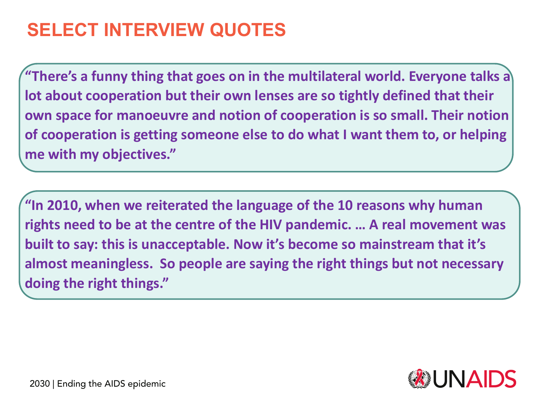## **SELECT INTERVIEW QUOTES**

**"There's a funny thing that goes on in the multilateral world. Everyone talks a lot about cooperation but their own lenses are so tightly defined that their own space for manoeuvre and notion of cooperation is so small. Their notion of cooperation is getting someone else to do what I want them to, or helping me with my objectives."** 

**"In 2010, when we reiterated the language of the 10 reasons why human rights need to be at the centre of the HIV pandemic. … A real movement was built to say: this is unacceptable. Now it's become so mainstream that it's almost meaningless. So people are saying the right things but not necessary doing the right things."** 

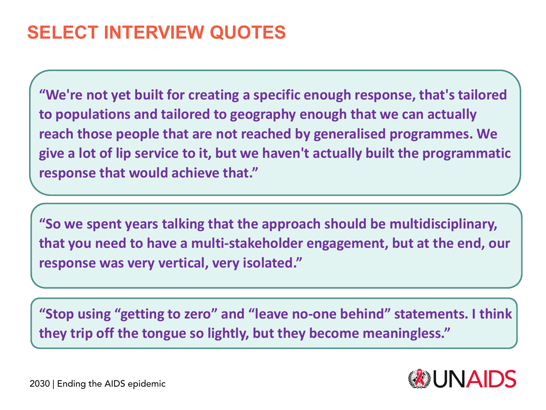## **SELECT INTERVIEW QUOTES**

**"We're not yet built for creating a specific enough response, that's tailored to populations and tailored to geography enough that we can actually reach those people that are not reached by generalised programmes. We give a lot of lip service to it, but we haven't actually built the programmatic response that would achieve that."** 

**"So we spent years talking that the approach should be multidisciplinary, that you need to have a multi-stakeholder engagement, but at the end, our response was very vertical, very isolated."**

**"Stop using "getting to zero" and "leave no-one behind" statements. I think they trip off the tongue so lightly, but they become meaningless."**